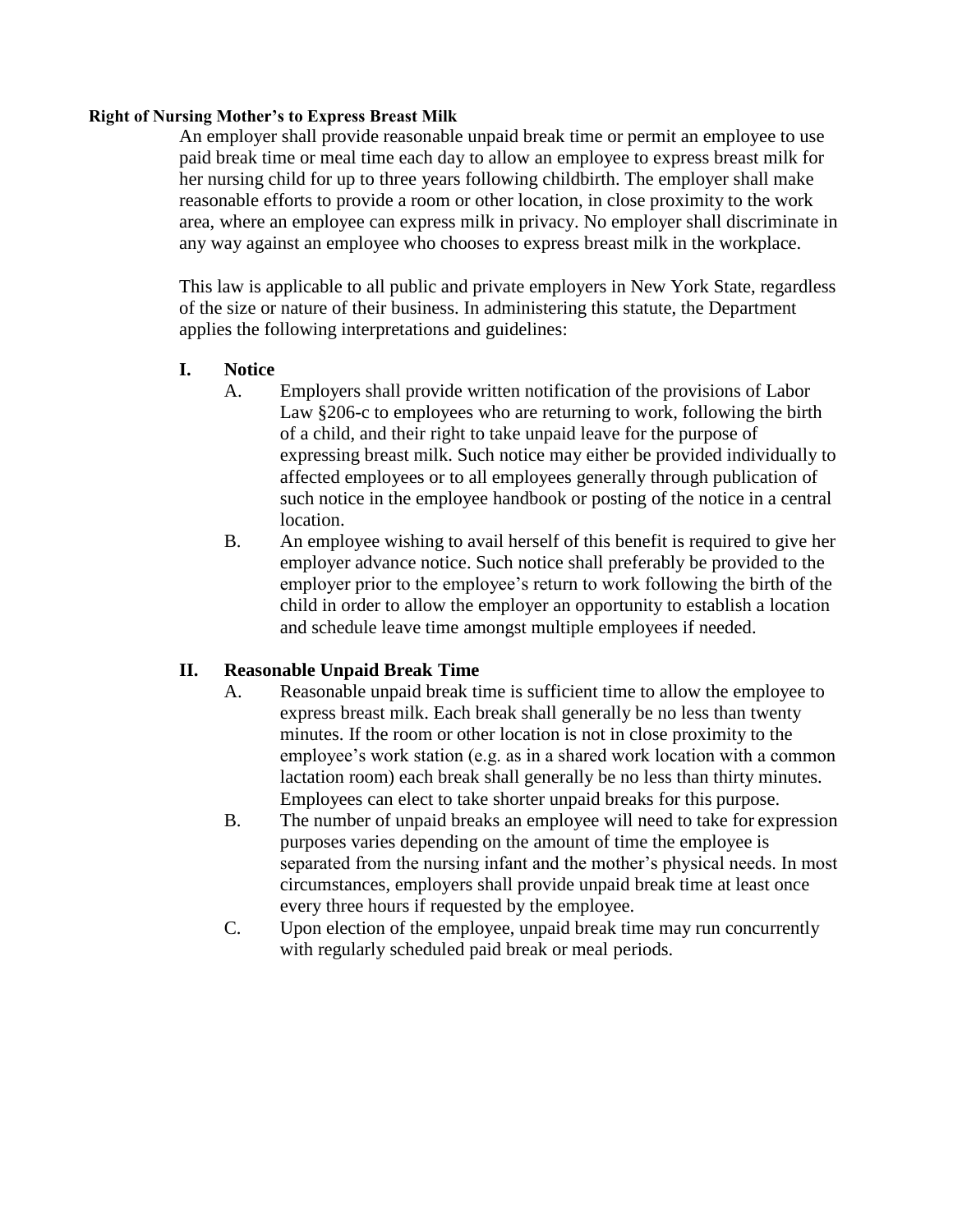#### **Right of Nursing Mother's to Express Breast Milk**

An employer shall provide reasonable unpaid break time or permit an employee to use paid break time or meal time each day to allow an employee to express breast milk for her nursing child for up to three years following childbirth. The employer shall make reasonable efforts to provide a room or other location, in close proximity to the work area, where an employee can express milk in privacy. No employer shall discriminate in any way against an employee who chooses to express breast milk in the workplace.

This law is applicable to all public and private employers in New York State, regardless of the size or nature of their business. In administering this statute, the Department applies the following interpretations and guidelines:

### **I. Notice**

- A. Employers shall provide written notification of the provisions of Labor Law §206-c to employees who are returning to work, following the birth of a child, and their right to take unpaid leave for the purpose of expressing breast milk. Such notice may either be provided individually to affected employees or to all employees generally through publication of such notice in the employee handbook or posting of the notice in a central location.
- B. An employee wishing to avail herself of this benefit is required to give her employer advance notice. Such notice shall preferably be provided to the employer prior to the employee's return to work following the birth of the child in order to allow the employer an opportunity to establish a location and schedule leave time amongst multiple employees if needed.

### **II. Reasonable Unpaid Break Time**

- A. Reasonable unpaid break time is sufficient time to allow the employee to express breast milk. Each break shall generally be no less than twenty minutes. If the room or other location is not in close proximity to the employee's work station (e.g. as in a shared work location with a common lactation room) each break shall generally be no less than thirty minutes. Employees can elect to take shorter unpaid breaks for this purpose.
- B. The number of unpaid breaks an employee will need to take for expression purposes varies depending on the amount of time the employee is separated from the nursing infant and the mother's physical needs. In most circumstances, employers shall provide unpaid break time at least once every three hours if requested by the employee.
- C. Upon election of the employee, unpaid break time may run concurrently with regularly scheduled paid break or meal periods.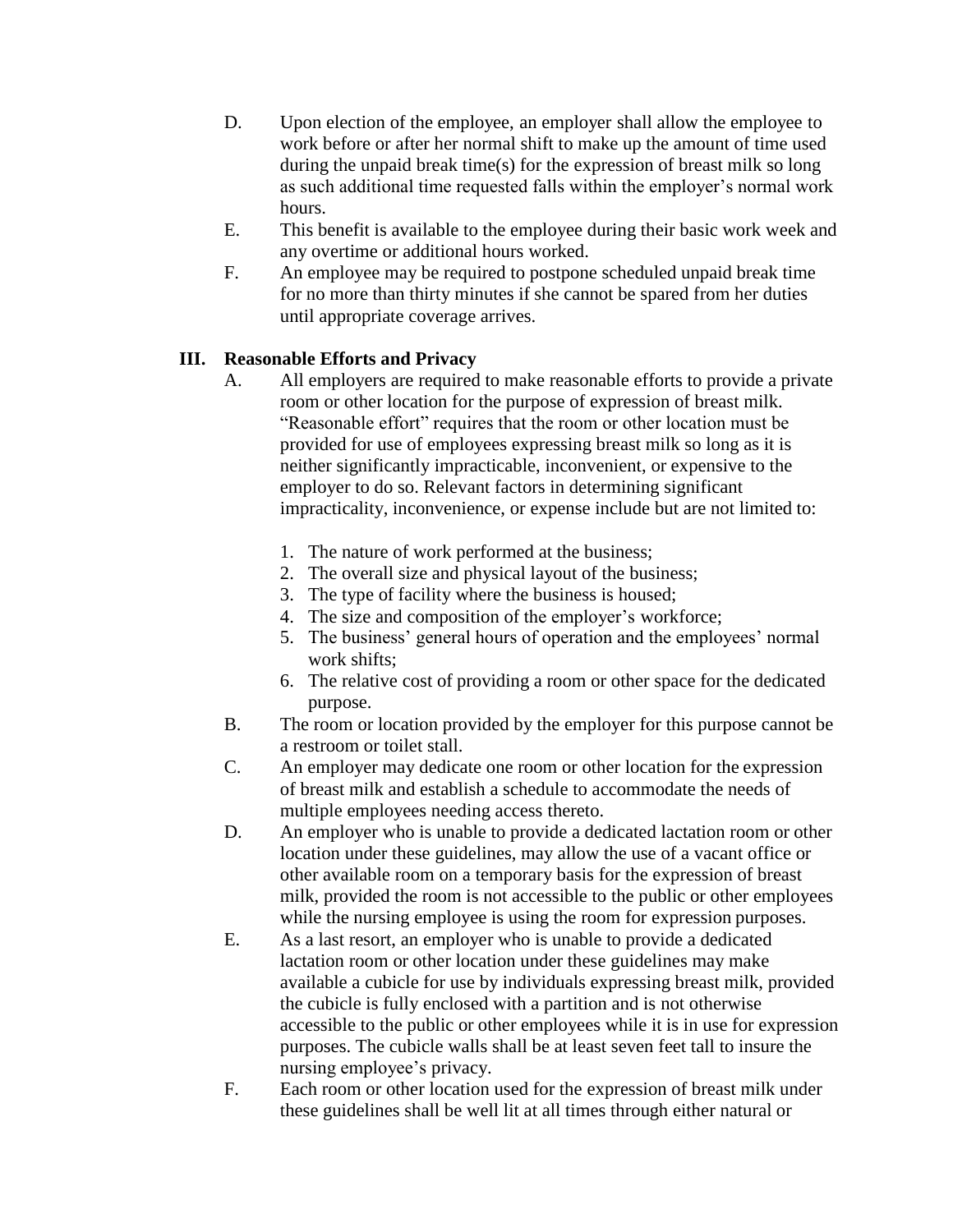- D. Upon election of the employee, an employer shall allow the employee to work before or after her normal shift to make up the amount of time used during the unpaid break time(s) for the expression of breast milk so long as such additional time requested falls within the employer's normal work hours.
- E. This benefit is available to the employee during their basic work week and any overtime or additional hours worked.
- F. An employee may be required to postpone scheduled unpaid break time for no more than thirty minutes if she cannot be spared from her duties until appropriate coverage arrives.

# **III. Reasonable Efforts and Privacy**

- A. All employers are required to make reasonable efforts to provide a private room or other location for the purpose of expression of breast milk. "Reasonable effort" requires that the room or other location must be provided for use of employees expressing breast milk so long as it is neither significantly impracticable, inconvenient, or expensive to the employer to do so. Relevant factors in determining significant impracticality, inconvenience, or expense include but are not limited to:
	- 1. The nature of work performed at the business;
	- 2. The overall size and physical layout of the business;
	- 3. The type of facility where the business is housed;
	- 4. The size and composition of the employer's workforce;
	- 5. The business' general hours of operation and the employees' normal work shifts;
	- 6. The relative cost of providing a room or other space for the dedicated purpose.
- B. The room or location provided by the employer for this purpose cannot be a restroom or toilet stall.
- C. An employer may dedicate one room or other location for the expression of breast milk and establish a schedule to accommodate the needs of multiple employees needing access thereto.
- D. An employer who is unable to provide a dedicated lactation room or other location under these guidelines, may allow the use of a vacant office or other available room on a temporary basis for the expression of breast milk, provided the room is not accessible to the public or other employees while the nursing employee is using the room for expression purposes.
- E. As a last resort, an employer who is unable to provide a dedicated lactation room or other location under these guidelines may make available a cubicle for use by individuals expressing breast milk, provided the cubicle is fully enclosed with a partition and is not otherwise accessible to the public or other employees while it is in use for expression purposes. The cubicle walls shall be at least seven feet tall to insure the nursing employee's privacy.
- F. Each room or other location used for the expression of breast milk under these guidelines shall be well lit at all times through either natural or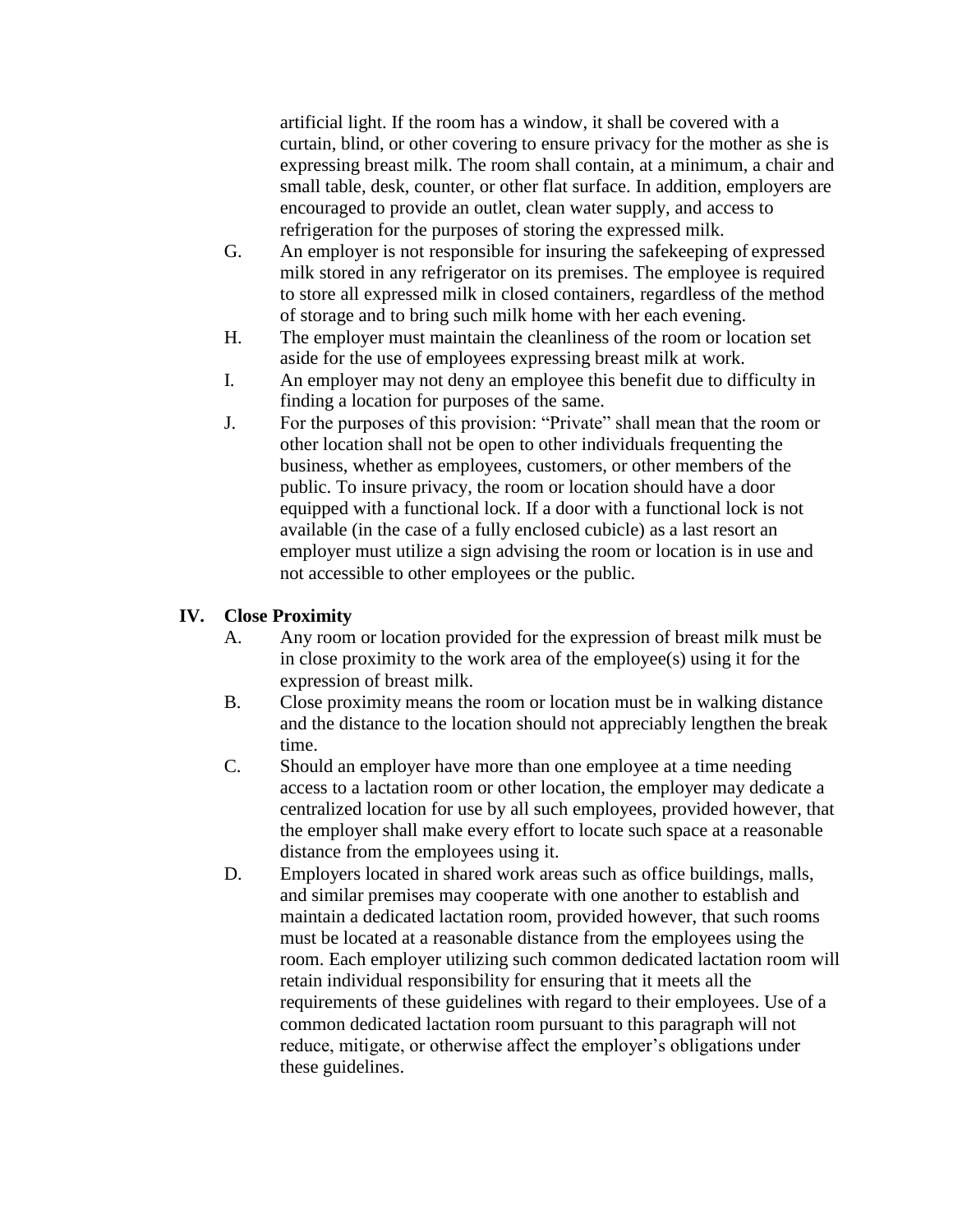artificial light. If the room has a window, it shall be covered with a curtain, blind, or other covering to ensure privacy for the mother as she is expressing breast milk. The room shall contain, at a minimum, a chair and small table, desk, counter, or other flat surface. In addition, employers are encouraged to provide an outlet, clean water supply, and access to refrigeration for the purposes of storing the expressed milk.

- G. An employer is not responsible for insuring the safekeeping of expressed milk stored in any refrigerator on its premises. The employee is required to store all expressed milk in closed containers, regardless of the method of storage and to bring such milk home with her each evening.
- H. The employer must maintain the cleanliness of the room or location set aside for the use of employees expressing breast milk at work.
- I. An employer may not deny an employee this benefit due to difficulty in finding a location for purposes of the same.
- J. For the purposes of this provision: "Private" shall mean that the room or other location shall not be open to other individuals frequenting the business, whether as employees, customers, or other members of the public. To insure privacy, the room or location should have a door equipped with a functional lock. If a door with a functional lock is not available (in the case of a fully enclosed cubicle) as a last resort an employer must utilize a sign advising the room or location is in use and not accessible to other employees or the public.

## **IV. Close Proximity**

- A. Any room or location provided for the expression of breast milk must be in close proximity to the work area of the employee(s) using it for the expression of breast milk.
- B. Close proximity means the room or location must be in walking distance and the distance to the location should not appreciably lengthen the break time.
- C. Should an employer have more than one employee at a time needing access to a lactation room or other location, the employer may dedicate a centralized location for use by all such employees, provided however, that the employer shall make every effort to locate such space at a reasonable distance from the employees using it.
- D. Employers located in shared work areas such as office buildings, malls, and similar premises may cooperate with one another to establish and maintain a dedicated lactation room, provided however, that such rooms must be located at a reasonable distance from the employees using the room. Each employer utilizing such common dedicated lactation room will retain individual responsibility for ensuring that it meets all the requirements of these guidelines with regard to their employees. Use of a common dedicated lactation room pursuant to this paragraph will not reduce, mitigate, or otherwise affect the employer's obligations under these guidelines.